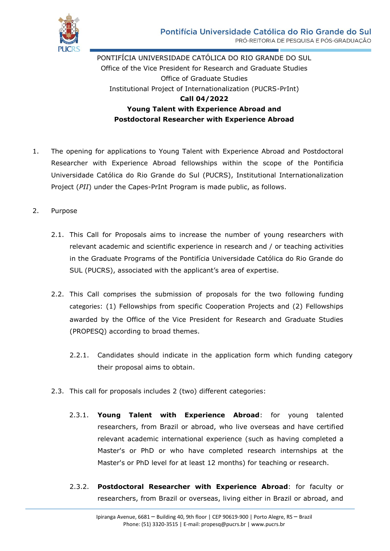

PONTIFÍCIA UNIVERSIDADE CATÓLICA DO RIO GRANDE DO SUL Office of the Vice President for Research and Graduate Studies Office of Graduate Studies Institutional Project of Internationalization (PUCRS-PrInt) **Call 04/2022 Young Talent with Experience Abroad and Postdoctoral Researcher with Experience Abroad**

- 1. The opening for applications to Young Talent with Experience Abroad and Postdoctoral Researcher with Experience Abroad fellowships within the scope of the Pontificia Universidade Católica do Rio Grande do Sul (PUCRS), Institutional Internationalization Project (*PII*) under the Capes-PrInt Program is made public, as follows.
- 2. Purpose
	- 2.1. This Call for Proposals aims to increase the number of young researchers with relevant academic and scientific experience in research and / or teaching activities in the Graduate Programs of the Pontifícia Universidade Católica do Rio Grande do SUL (PUCRS), associated with the applicant's area of expertise.
	- 2.2. This Call comprises the submission of proposals for the two following funding categories: (1) Fellowships from specific Cooperation Projects and (2) Fellowships awarded by the Office of the Vice President for Research and Graduate Studies (PROPESQ) according to broad themes.
		- 2.2.1. Candidates should indicate in the application form which funding category their proposal aims to obtain.
	- 2.3. This call for proposals includes 2 (two) different categories:
		- 2.3.1. **Young Talent with Experience Abroad**: for young talented researchers, from Brazil or abroad, who live overseas and have certified relevant academic international experience (such as having completed a Master's or PhD or who have completed research internships at the Master's or PhD level for at least 12 months) for teaching or research.
		- 2.3.2. **Postdoctoral Researcher with Experience Abroad**: for faculty or researchers, from Brazil or overseas, living either in Brazil or abroad, and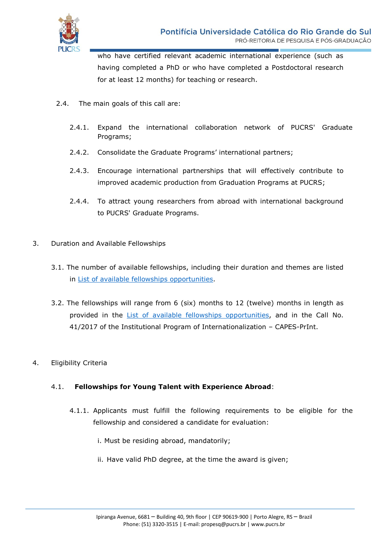

who have certified relevant academic international experience (such as having completed a PhD or who have completed a Postdoctoral research for at least 12 months) for teaching or research.

- 2.4. The main goals of this call are:
	- 2.4.1. Expand the international collaboration network of PUCRS' Graduate Programs;
	- 2.4.2. Consolidate the Graduate Programs' international partners;
	- 2.4.3. Encourage international partnerships that will effectively contribute to improved academic production from Graduation Programs at PUCRS;
	- 2.4.4. To attract young researchers from abroad with international background to PUCRS' Graduate Programs.
- 3. Duration and Available Fellowships
	- 3.1. The number of available fellowships, including their duration and themes are listed in [List of available fellowships](https://www.pucrs.br/print/wp-content/uploads/sites/218/2022/02/relacao_bolsas_disponiveis_jtposdoc_1chamada_publicado.pdf) opportunities.
	- 3.2. The fellowships will range from 6 (six) months to 12 (twelve) months in length as provided in the [List of available fellowships opportunities,](https://www.pucrs.br/print/wp-content/uploads/sites/218/2022/02/relacao_bolsas_disponiveis_jtposdoc_1chamada_publicado.pdf) and in the Call No. 41/2017 of the Institutional Program of Internationalization – CAPES-PrInt.
- 4. Eligibility Criteria

# 4.1. **Fellowships for Young Talent with Experience Abroad**:

- 4.1.1. Applicants must fulfill the following requirements to be eligible for the fellowship and considered a candidate for evaluation:
	- i. Must be residing abroad, mandatorily;
	- ii. Have valid PhD degree, at the time the award is given;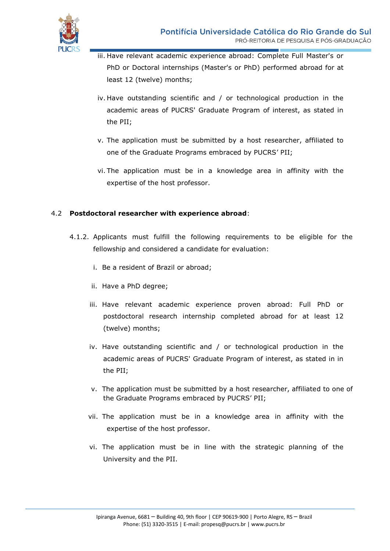

- iii. Have relevant academic experience abroad: Complete Full Master's or PhD or Doctoral internships (Master's or PhD) performed abroad for at least 12 (twelve) months;
- iv. Have outstanding scientific and / or technological production in the academic areas of PUCRS' Graduate Program of interest, as stated in the PII;
- v. The application must be submitted by a host researcher, affiliated to one of the Graduate Programs embraced by PUCRS' PII;
- vi. The application must be in a knowledge area in affinity with the expertise of the host professor.

### 4.2 **Postdoctoral researcher with experience abroad**:

- 4.1.2. Applicants must fulfill the following requirements to be eligible for the fellowship and considered a candidate for evaluation:
	- i. Be a resident of Brazil or abroad;
	- ii. Have a PhD degree;
	- iii. Have relevant academic experience proven abroad: Full PhD or postdoctoral research internship completed abroad for at least 12 (twelve) months;
	- iv. Have outstanding scientific and / or technological production in the academic areas of PUCRS' Graduate Program of interest, as stated in in the PII;
	- v. The application must be submitted by a host researcher, affiliated to one of the Graduate Programs embraced by PUCRS' PII;
	- vii. The application must be in a knowledge area in affinity with the expertise of the host professor.
	- vi. The application must be in line with the strategic planning of the University and the PII.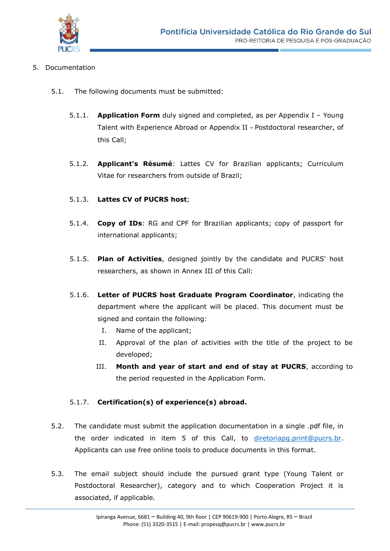

### 5. Documentation

- 5.1. The following documents must be submitted:
	- 5.1.1. **Application Form** duly signed and completed, as per Appendix I Young Talent with Experience Abroad or Appendix II – Postdoctoral researcher, of this Call;
	- 5.1.2. **Applicant's Résumé**: Lattes CV for Brazilian applicants; Curriculum Vitae for researchers from outside of Brazil;

# 5.1.3. **Lattes CV of PUCRS host**;

- 5.1.4. **Copy of IDs**: RG and CPF for Brazilian applicants; copy of passport for international applicants;
- 5.1.5. **Plan of Activities**, designed jointly by the candidate and PUCRS' host researchers, as shown in Annex III of this Call:
- 5.1.6. **Letter of PUCRS host Graduate Program Coordinator**, indicating the department where the applicant will be placed. This document must be signed and contain the following:
	- I. Name of the applicant;
	- II. Approval of the plan of activities with the title of the project to be developed;
	- III. **Month and year of start and end of stay at PUCRS**, according to the period requested in the Application Form.

# 5.1.7. **Certification(s) of experience(s) abroad.**

- 5.2. The candidate must submit the application documentation in a single .pdf file, in the order indicated in item 5 of this Call, to [diretoriapg.print@pucrs.br.](mailto:diretoriapg.print@pucrs.br) Applicants can use free online tools to produce documents in this format.
- 5.3. The email subject should include the pursued grant type (Young Talent or Postdoctoral Researcher), category and to which Cooperation Project it is associated, if applicable.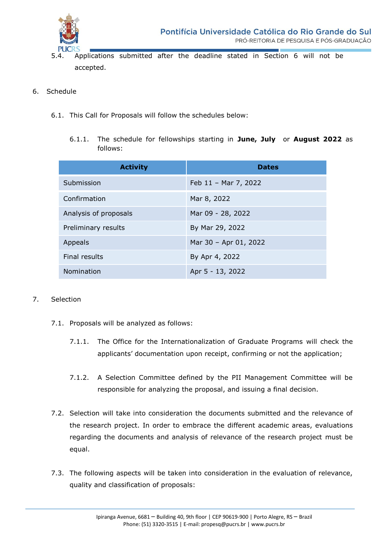

- 5.4. Applications submitted after the deadline stated in Section 6 will not be accepted.
- 6. Schedule
	- 6.1. This Call for Proposals will follow the schedules below:
		- 6.1.1. The schedule for fellowships starting in **June, July** or **August 2022** as follows:

| <b>Activity</b>       | <b>Dates</b>          |
|-----------------------|-----------------------|
| Submission            | Feb 11 - Mar 7, 2022  |
| Confirmation          | Mar 8, 2022           |
| Analysis of proposals | Mar 09 - 28, 2022     |
| Preliminary results   | By Mar 29, 2022       |
| Appeals               | Mar 30 - Apr 01, 2022 |
| Final results         | By Apr 4, 2022        |
| Nomination            | Apr 5 - 13, 2022      |

### 7. Selection

- 7.1. Proposals will be analyzed as follows:
	- 7.1.1. The Office for the Internationalization of Graduate Programs will check the applicants' documentation upon receipt, confirming or not the application;
	- 7.1.2. A Selection Committee defined by the PII Management Committee will be responsible for analyzing the proposal, and issuing a final decision.
- 7.2. Selection will take into consideration the documents submitted and the relevance of the research project. In order to embrace the different academic areas, evaluations regarding the documents and analysis of relevance of the research project must be equal.
- 7.3. The following aspects will be taken into consideration in the evaluation of relevance, quality and classification of proposals: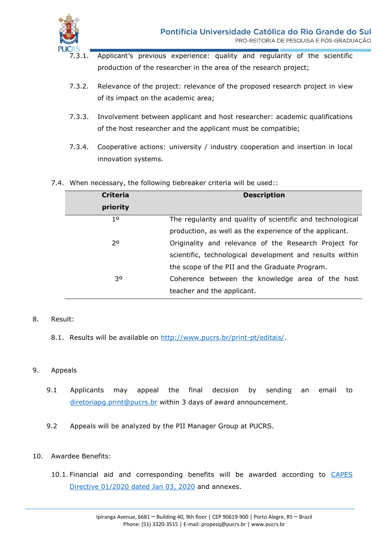

- Applicant's previous experience: quality and regularity of the scientific production of the researcher in the area of the research project;
- 7.3.2. Relevance of the project: relevance of the proposed research project in view of its impact on the academic area;
- 7.3.3. Involvement between applicant and host researcher: academic qualifications of the host researcher and the applicant must be compatible;
- 7.3.4. Cooperative actions: university / industry cooperation and insertion in local innovation systems.

| <b>Criteria</b> | <b>Description</b>                                         |
|-----------------|------------------------------------------------------------|
| priority        |                                                            |
| 10              | The regularity and quality of scientific and technological |
|                 | production, as well as the experience of the applicant.    |
| 20              | Originality and relevance of the Research Project for      |
|                 | scientific, technological development and results within   |
|                 | the scope of the PII and the Graduate Program.             |
| 30              | Coherence between the knowledge area of the host           |
|                 | teacher and the applicant.                                 |

7.4. When necessary, the following tiebreaker criteria will be used::

# 8. Result:

8.1. Results will be available on [http://www.pucrs.br/print-pt/editais/.](http://www.pucrs.br/print-pt/editais/)

### 9. Appeals

- 9.1 Applicants may appeal the final decision by sending an email to [diretoriapg.print@pucrs.br](mailto:diretoriapg.print@pucrs.br) within 3 days of award announcement.
- 9.2 Appeals will be analyzed by the PII Manager Group at PUCRS.
- 10. Awardee Benefits:
	- 10.1. Financial aid and corresponding benefits will be awarded according to [CAPES](http://cad.capes.gov.br/ato-administrativo-detalhar?idAtoAdmElastic=3062)  [Directive 01/2020 dated Jan 03, 2020](http://cad.capes.gov.br/ato-administrativo-detalhar?idAtoAdmElastic=3062) and annexes.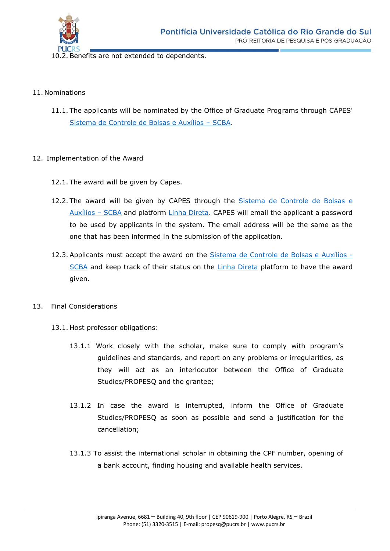

10.2. Benefits are not extended to dependents.

#### 11. Nominations

11.1. The applicants will be nominated by the Office of Graduate Programs through CAPES' [Sistema de Controle de Bolsas e Auxílios](https://scba.capes.gov.br/scba/login.seam?conversationId=18402) – SCBA.

### 12. Implementation of the Award

- 12.1. The award will be given by Capes.
- 12.2. The award will be given by CAPES through the [Sistema de Controle de Bolsas e](https://scba.capes.gov.br/scba/login.seam?conversationId=18402)  [Auxílios](https://scba.capes.gov.br/scba/login.seam?conversationId=18402) – SCBA and platform [Linha Direta.](https://sso.capes.gov.br/sso/oauth?response_type=code&redirect_uri=https://linhadireta.capes.gov.br/linhadireta/oauth.seam&client_id=linhadireta.capes.gov.br) CAPES will email the applicant a password to be used by applicants in the system. The email address will be the same as the one that has been informed in the submission of the application.
- 12.3. Applicants must accept the award on the [Sistema de Controle de Bolsas e Auxílios -](https://scba.capes.gov.br/scba/login.seam?conversationId=18402) [SCBA](https://scba.capes.gov.br/scba/login.seam?conversationId=18402) and keep track of their status on the [Linha Direta](https://sso.capes.gov.br/sso/oauth?response_type=code&redirect_uri=https://linhadireta.capes.gov.br/linhadireta/oauth.seam&client_id=linhadireta.capes.gov.br) platform to have the award given.
- 13. Final Considerations
	- 13.1. Host professor obligations:
		- 13.1.1 Work closely with the scholar, make sure to comply with program's guidelines and standards, and report on any problems or irregularities, as they will act as an interlocutor between the Office of Graduate Studies/PROPESQ and the grantee;
		- 13.1.2 In case the award is interrupted, inform the Office of Graduate Studies/PROPESQ as soon as possible and send a justification for the cancellation;
		- 13.1.3 To assist the international scholar in obtaining the CPF number, opening of a bank account, finding housing and available health services.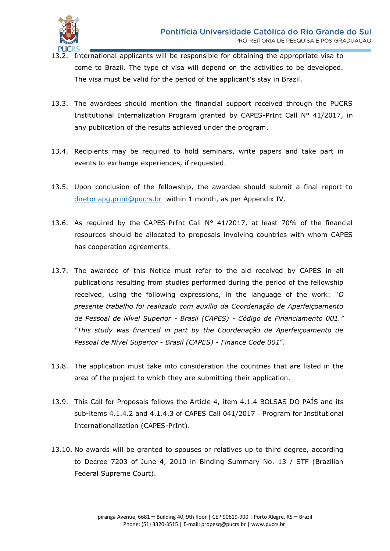

- 13.2. International applicants will be responsible for obtaining the appropriate visa to come to Brazil. The type of visa will depend on the activities to be developed. The visa must be valid for the period of the applicant's stay in Brazil.
- 13.3. The awardees should mention the financial support received through the PUCRS Institutional Internalization Program granted by CAPES-PrInt Call N° 41/2017, in any publication of the results achieved under the program.
- 13.4. Recipients may be required to hold seminars, write papers and take part in events to exchange experiences, if requested.
- 13.5. Upon conclusion of the fellowship, the awardee should submit a final report to [diretoriapg.print@pucrs.br](mailto:diretoriapg.print@pucrs.br) within 1 month, as per Appendix IV.
- 13.6. As required by the CAPES-PrInt Call N° 41/2017, at least 70% of the financial resources should be allocated to proposals involving countries with whom CAPES has cooperation agreements.
- 13.7. The awardee of this Notice must refer to the aid received by CAPES in all publications resulting from studies performed during the period of the fellowship received, using the following expressions, in the language of the work: "*O presente trabalho foi realizado com auxílio da Coordenação de Aperfeiçoamento de Pessoal de Nível Superior - Brasil (CAPES) - Código de Financiamento 001." "This study was financed in part by the Coordenação de Aperfeiçoamento de Pessoal de Nível Superior - Brasil (CAPES) - Finance Code 001*".
- 13.8. The application must take into consideration the countries that are listed in the area of the project to which they are submitting their application.
- 13.9. This Call for Proposals follows the Article 4, item 4.1.4 BOLSAS DO PAÍS and its sub-items 4.1.4.2 and 4.1.4.3 of CAPES Call 041/2017 – Program for Institutional Internationalization (CAPES-PrInt).
- 13.10. No awards will be granted to spouses or relatives up to third degree, according to Decree 7203 of June 4, 2010 in Binding Summary No. 13 / STF (Brazilian Federal Supreme Court).